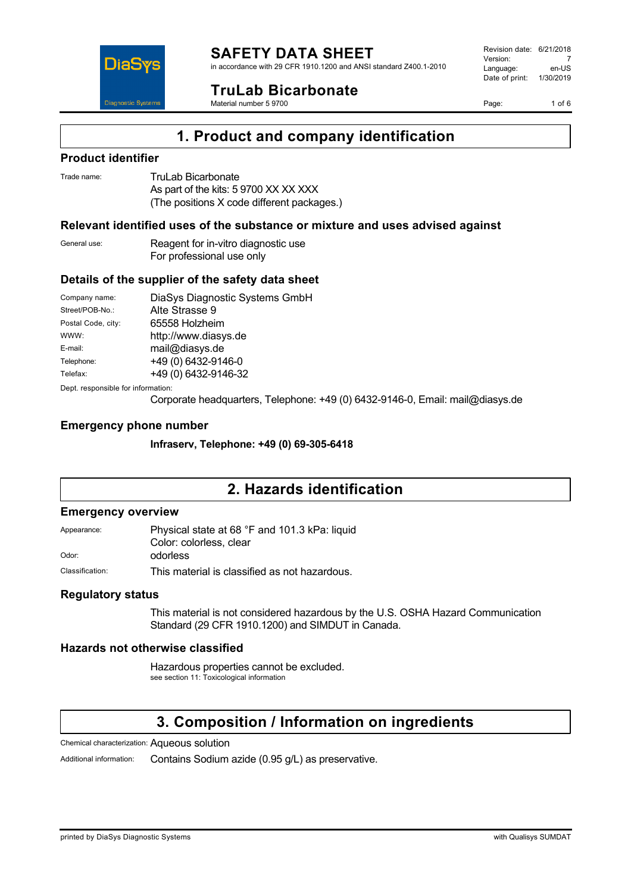

in accordance with 29 CFR 1910.1200 and ANSI standard Z400.1-2010

**TruLab Bicarbonate**

Material number 5 9700

Revision date: 6/21/2018 Version: 7<br>Language: en-LIS Language: Date of print: 1/30/2019

Page: 1 of 6



### **Product identifier**

DiaS

**Diagnostic Systen** 

| Trade name: | TruLab Bicarbonate                         |
|-------------|--------------------------------------------|
|             | As part of the kits: 5 9700 XX XX XXX      |
|             | (The positions X code different packages.) |

### **Relevant identified uses of the substance or mixture and uses advised against**

General use: Reagent for in-vitro diagnostic use For professional use only

### **Details of the supplier of the safety data sheet**

| Company name:                      | DiaSys Diagnostic Systems GmbH |
|------------------------------------|--------------------------------|
| Street/POB-No.:                    | Alte Strasse 9                 |
| Postal Code, city:                 | 65558 Holzheim                 |
| WWW:                               | http://www.diasys.de           |
| E-mail:                            | mail@diasys.de                 |
| Telephone:                         | +49 (0) 6432-9146-0            |
| Telefax:                           | +49 (0) 6432-9146-32           |
| Dept. responsible for information: |                                |

Corporate headquarters, Telephone: +49 (0) 6432-9146-0, Email: mail@diasys.de

#### **Emergency phone number**

**Infraserv, Telephone: +49 (0) 69-305-6418**

## **2. Hazards identification**

#### **Emergency overview**

Appearance: Physical state at 68 °F and 101.3 kPa: liquid Color: colorless, clear Odor: odorless

Classification: This material is classified as not hazardous.

### **Regulatory status**

This material is not considered hazardous by the U.S. OSHA Hazard Communication Standard (29 CFR 1910.1200) and SIMDUT in Canada.

### **Hazards not otherwise classified**

Hazardous properties cannot be excluded. see section 11: Toxicological information

## **3. Composition / Information on ingredients**

Chemical characterization: Aqueous solution

Additional information: Contains Sodium azide (0.95 g/L) as preservative.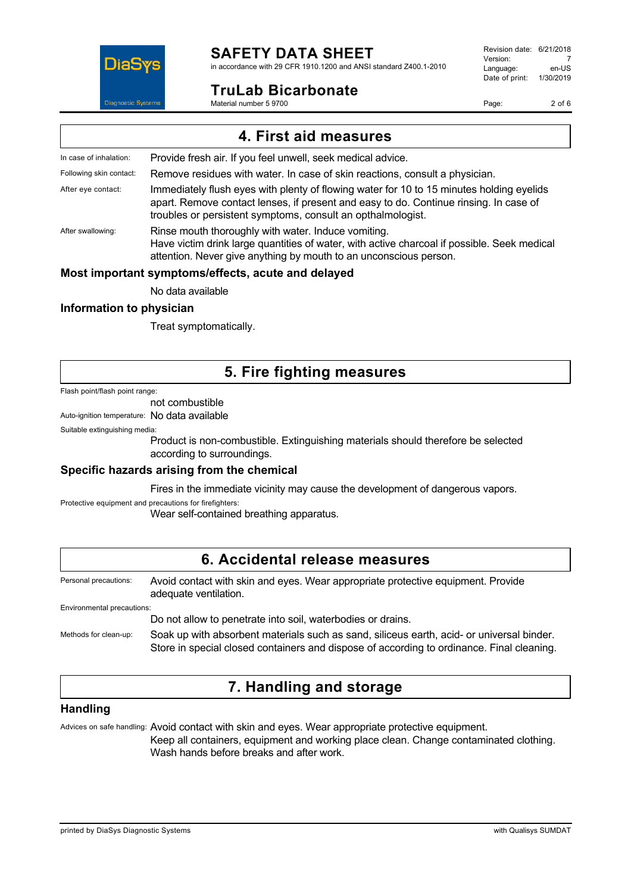### **SAFETY DATA SHEET** in accordance with 29 CFR 1910.1200 and ANSI standard Z400.1-2010

### **TruLab Bicarbonate**

Material number 5 9700

Revision date: 6/21/2018 Version: 7<br>Language: en-LIS Language: Date of print: 1/30/2019

Page: 2 of 6



### **Most important symptoms/effects, acute and delayed**

No data available

#### **Information to physician**

DiaS

Treat symptomatically.

### **5. Fire fighting measures**

#### Flash point/flash point range:

not combustible

Auto-ignition temperature: No data available

Suitable extinguishing media:

Product is non-combustible. Extinguishing materials should therefore be selected according to surroundings.

### **Specific hazards arising from the chemical**

Fires in the immediate vicinity may cause the development of dangerous vapors.

Protective equipment and precautions for firefighters:

Wear self-contained breathing apparatus.

### **6. Accidental release measures**

Personal precautions: Avoid contact with skin and eyes. Wear appropriate protective equipment. Provide adequate ventilation.

Environmental precautions:

Do not allow to penetrate into soil, waterbodies or drains.

Methods for clean-up: Soak up with absorbent materials such as sand, siliceus earth, acid- or universal binder. Store in special closed containers and dispose of according to ordinance. Final cleaning.

## **7. Handling and storage**

### **Handling**

Advices on safe handling: Avoid contact with skin and eyes. Wear appropriate protective equipment. Keep all containers, equipment and working place clean. Change contaminated clothing. Wash hands before breaks and after work.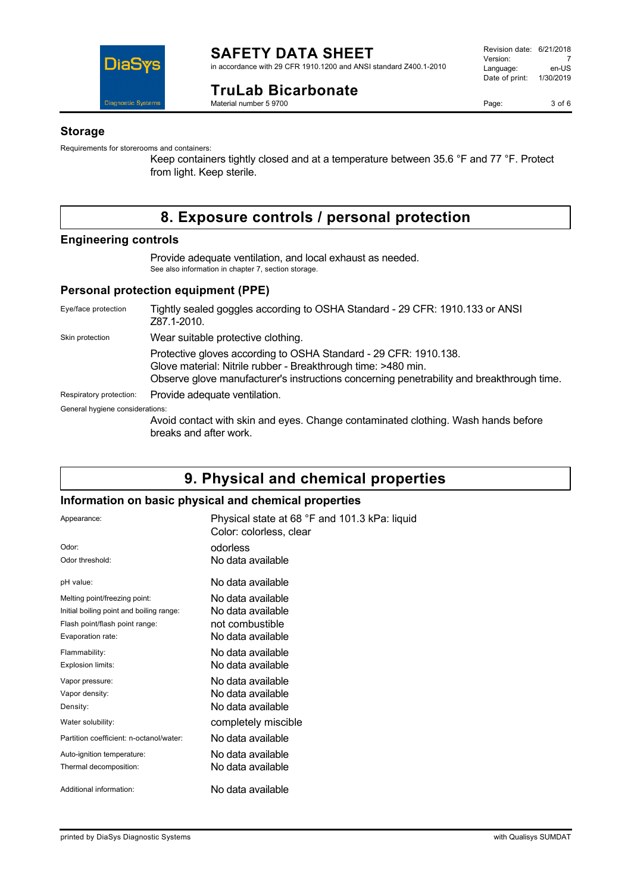

## **TruLab Bicarbonate**

Material number 5 9700

Page: 3 of 6

#### **Storage**

Requirements for storerooms and containers:

Keep containers tightly closed and at a temperature between 35.6 °F and 77 °F. Protect from light. Keep sterile.

## **8. Exposure controls / personal protection**

#### **Engineering controls**

Provide adequate ventilation, and local exhaust as needed. See also information in chapter 7, section storage.

#### **Personal protection equipment (PPE)**

| Eye/face protection             | Tightly sealed goggles according to OSHA Standard - 29 CFR: 1910.133 or ANSI<br>Z87.1-2010.                                                                                                                                    |
|---------------------------------|--------------------------------------------------------------------------------------------------------------------------------------------------------------------------------------------------------------------------------|
| Skin protection                 | Wear suitable protective clothing.                                                                                                                                                                                             |
|                                 | Protective gloves according to OSHA Standard - 29 CFR: 1910.138.<br>Glove material: Nitrile rubber - Breakthrough time: >480 min.<br>Observe glove manufacturer's instructions concerning penetrability and breakthrough time. |
| Respiratory protection:         | Provide adequate ventilation.                                                                                                                                                                                                  |
| General hygiene considerations: |                                                                                                                                                                                                                                |
|                                 | Avoid contact with skin and eyes. Change contaminated clothing. Wash hands before<br>breaks and after work.                                                                                                                    |

### **9. Physical and chemical properties**

### **Information on basic physical and chemical properties**

| Appearance:                              | Physical state at 68 °F and 101.3 kPa: liquid<br>Color: colorless, clear |
|------------------------------------------|--------------------------------------------------------------------------|
| Odor:                                    | odorless                                                                 |
| Odor threshold:                          | No data available                                                        |
| pH value:                                | No data available                                                        |
| Melting point/freezing point:            | No data available                                                        |
| Initial boiling point and boiling range: | No data available                                                        |
| Flash point/flash point range:           | not combustible                                                          |
| Evaporation rate:                        | No data available                                                        |
| Flammability:                            | No data available                                                        |
| Explosion limits:                        | No data available                                                        |
| Vapor pressure:                          | No data available                                                        |
| Vapor density:                           | No data available                                                        |
| Density:                                 | No data available                                                        |
| Water solubility:                        | completely miscible                                                      |
| Partition coefficient: n-octanol/water:  | No data available                                                        |
| Auto-ignition temperature:               | No data available                                                        |
| Thermal decomposition:                   | No data available                                                        |
| Additional information:                  | No data available                                                        |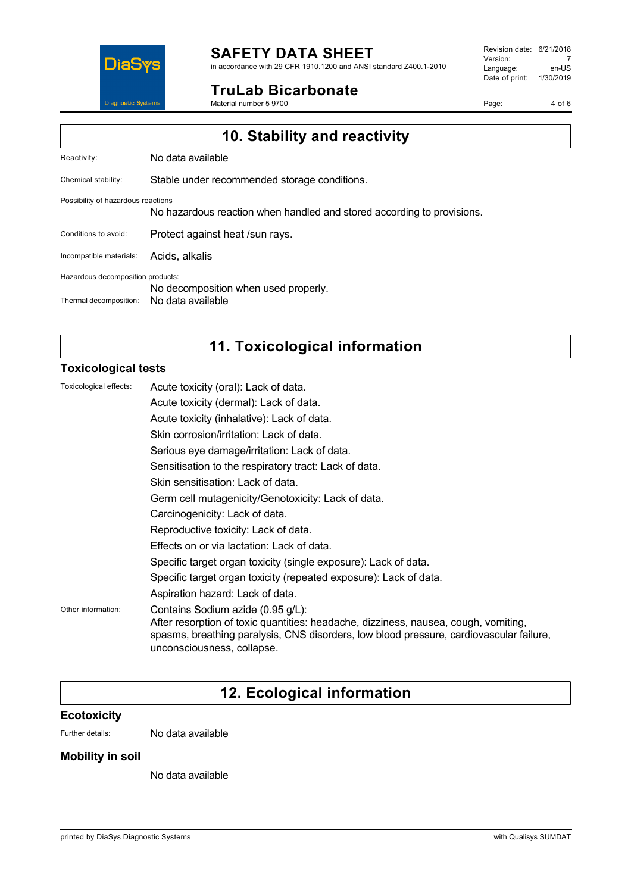

## **SAFETY DATA SHEET**

in accordance with 29 CFR 1910.1200 and ANSI standard Z400.1-2010

### **TruLab Bicarbonate**

Material number 5 9700

Revision date: 6/21/2018 Version: 7<br>Language: en-US Language: Date of print: 1/30/2019

Page: 4 of 6

|                                    | 10. Stability and reactivity                                           |
|------------------------------------|------------------------------------------------------------------------|
| Reactivity:                        | No data available                                                      |
| Chemical stability:                | Stable under recommended storage conditions.                           |
| Possibility of hazardous reactions | No hazardous reaction when handled and stored according to provisions. |
| Conditions to avoid:               | Protect against heat /sun rays.                                        |
| Incompatible materials:            | Acids, alkalis                                                         |
| Hazardous decomposition products:  | No decomposition when used properly.                                   |
| Thermal decomposition:             | No data available                                                      |

# **11. Toxicological information**

### **Toxicological tests**

| Toxicological effects: | Acute toxicity (oral): Lack of data.                                                                                                                                                                                                              |
|------------------------|---------------------------------------------------------------------------------------------------------------------------------------------------------------------------------------------------------------------------------------------------|
|                        | Acute toxicity (dermal): Lack of data.                                                                                                                                                                                                            |
|                        | Acute toxicity (inhalative): Lack of data.                                                                                                                                                                                                        |
|                        | Skin corrosion/irritation: Lack of data.                                                                                                                                                                                                          |
|                        | Serious eye damage/irritation: Lack of data.                                                                                                                                                                                                      |
|                        | Sensitisation to the respiratory tract: Lack of data.                                                                                                                                                                                             |
|                        | Skin sensitisation: Lack of data.                                                                                                                                                                                                                 |
|                        | Germ cell mutagenicity/Genotoxicity: Lack of data.                                                                                                                                                                                                |
|                        | Carcinogenicity: Lack of data.                                                                                                                                                                                                                    |
|                        | Reproductive toxicity: Lack of data.                                                                                                                                                                                                              |
|                        | Effects on or via lactation: Lack of data.                                                                                                                                                                                                        |
|                        | Specific target organ toxicity (single exposure): Lack of data.                                                                                                                                                                                   |
|                        | Specific target organ toxicity (repeated exposure): Lack of data.                                                                                                                                                                                 |
|                        | Aspiration hazard: Lack of data.                                                                                                                                                                                                                  |
| Other information:     | Contains Sodium azide (0.95 g/L):<br>After resorption of toxic quantities: headache, dizziness, nausea, cough, vomiting,<br>spasms, breathing paralysis, CNS disorders, low blood pressure, cardiovascular failure,<br>unconsciousness, collapse. |

# **12. Ecological information**

### **Ecotoxicity**

Further details: No data available

### **Mobility in soil**

No data available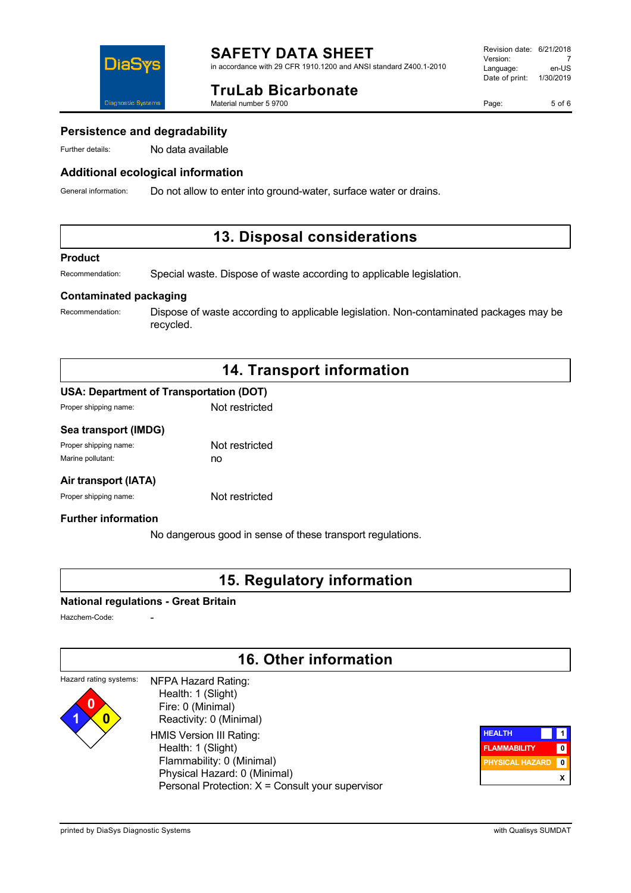

### **TruLab Bicarbonate**

Material number 5 9700

Page: 5 of 6

### **Persistence and degradability**

DiaS

**Diagnostic System:** 

Further details: No data available

### **Additional ecological information**

General information: Do not allow to enter into ground-water, surface water or drains.

### **13. Disposal considerations**

#### **Product**

Recommendation: Special waste. Dispose of waste according to applicable legislation.

### **Contaminated packaging**

Recommendation: Dispose of waste according to applicable legislation. Non-contaminated packages may be recycled.

## **14. Transport information**

### **USA: Department of Transportation (DOT)**

| Proper shipping name: | Not restricted |
|-----------------------|----------------|
|                       |                |

### **Sea transport (IMDG)**

| Proper shipping name: | Not restricted |
|-----------------------|----------------|
| Marine pollutant:     | no             |

#### **Air transport (IATA)**

Proper shipping name: Not restricted

### **Further information**

No dangerous good in sense of these transport regulations.

### **15. Regulatory information**

#### **National regulations - Great Britain**

Hazchem-Code:

**1 0**

### **16. Other information**

#### Hazard rating systems: **0** NFPA Hazard Rating: Health: 1 (Slight)

 Fire: 0 (Minimal) Reactivity: 0 (Minimal) HMIS Version III Rating: Health: 1 (Slight) Flammability: 0 (Minimal) Physical Hazard: 0 (Minimal) Personal Protection: X = Consult your supervisor

| <b>HEALTH</b>          |   |
|------------------------|---|
| <b>FLAMMABILITY</b>    |   |
| <b>PHYSICAL HAZARD</b> |   |
|                        | x |